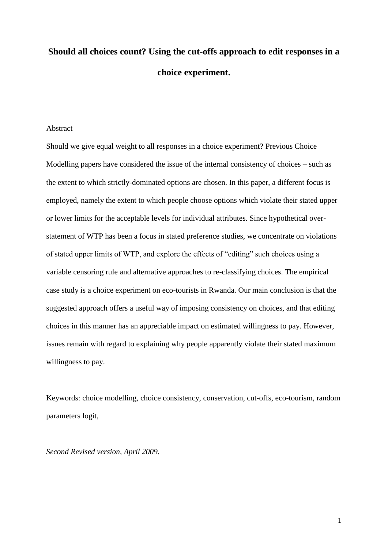# **Should all choices count? Using the cut-offs approach to edit responses in a choice experiment.**

#### Abstract

Should we give equal weight to all responses in a choice experiment? Previous Choice Modelling papers have considered the issue of the internal consistency of choices – such as the extent to which strictly-dominated options are chosen. In this paper, a different focus is employed, namely the extent to which people choose options which violate their stated upper or lower limits for the acceptable levels for individual attributes. Since hypothetical overstatement of WTP has been a focus in stated preference studies, we concentrate on violations of stated upper limits of WTP, and explore the effects of "editing" such choices using a variable censoring rule and alternative approaches to re-classifying choices. The empirical case study is a choice experiment on eco-tourists in Rwanda. Our main conclusion is that the suggested approach offers a useful way of imposing consistency on choices, and that editing choices in this manner has an appreciable impact on estimated willingness to pay. However, issues remain with regard to explaining why people apparently violate their stated maximum willingness to pay.

Keywords: choice modelling, choice consistency, conservation, cut-offs, eco-tourism, random parameters logit,

*Second Revised version, April 2009*.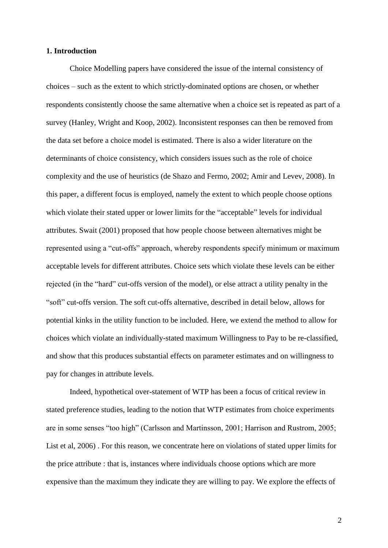#### **1. Introduction**

Choice Modelling papers have considered the issue of the internal consistency of choices – such as the extent to which strictly-dominated options are chosen, or whether respondents consistently choose the same alternative when a choice set is repeated as part of a survey (Hanley, Wright and Koop, 2002). Inconsistent responses can then be removed from the data set before a choice model is estimated. There is also a wider literature on the determinants of choice consistency, which considers issues such as the role of choice complexity and the use of heuristics (de Shazo and Fermo, 2002; Amir and Levev, 2008). In this paper, a different focus is employed, namely the extent to which people choose options which violate their stated upper or lower limits for the "acceptable" levels for individual attributes. Swait (2001) proposed that how people choose between alternatives might be represented using a "cut-offs" approach, whereby respondents specify minimum or maximum acceptable levels for different attributes. Choice sets which violate these levels can be either rejected (in the "hard" cut-offs version of the model), or else attract a utility penalty in the "soft" cut-offs version. The soft cut-offs alternative, described in detail below, allows for potential kinks in the utility function to be included. Here, we extend the method to allow for choices which violate an individually-stated maximum Willingness to Pay to be re-classified, and show that this produces substantial effects on parameter estimates and on willingness to pay for changes in attribute levels.

Indeed, hypothetical over-statement of WTP has been a focus of critical review in stated preference studies, leading to the notion that WTP estimates from choice experiments are in some senses "too high" (Carlsson and Martinsson, 2001; Harrison and Rustrom, 2005; List et al, 2006) . For this reason, we concentrate here on violations of stated upper limits for the price attribute : that is, instances where individuals choose options which are more expensive than the maximum they indicate they are willing to pay. We explore the effects of

2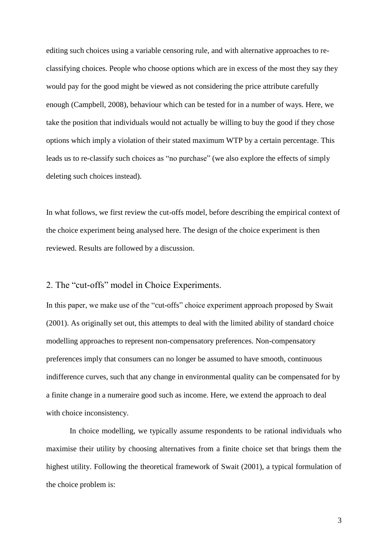editing such choices using a variable censoring rule, and with alternative approaches to reclassifying choices. People who choose options which are in excess of the most they say they would pay for the good might be viewed as not considering the price attribute carefully enough (Campbell, 2008), behaviour which can be tested for in a number of ways. Here, we take the position that individuals would not actually be willing to buy the good if they chose options which imply a violation of their stated maximum WTP by a certain percentage. This leads us to re-classify such choices as "no purchase" (we also explore the effects of simply deleting such choices instead).

In what follows, we first review the cut-offs model, before describing the empirical context of the choice experiment being analysed here. The design of the choice experiment is then reviewed. Results are followed by a discussion.

2. The "cut-offs" model in Choice Experiments.

In this paper, we make use of the "cut-offs" choice experiment approach proposed by Swait (2001). As originally set out, this attempts to deal with the limited ability of standard choice modelling approaches to represent non-compensatory preferences. Non-compensatory preferences imply that consumers can no longer be assumed to have smooth, continuous indifference curves, such that any change in environmental quality can be compensated for by a finite change in a numeraire good such as income. Here, we extend the approach to deal with choice inconsistency.

In choice modelling, we typically assume respondents to be rational individuals who maximise their utility by choosing alternatives from a finite choice set that brings them the highest utility. Following the theoretical framework of Swait (2001), a typical formulation of the choice problem is: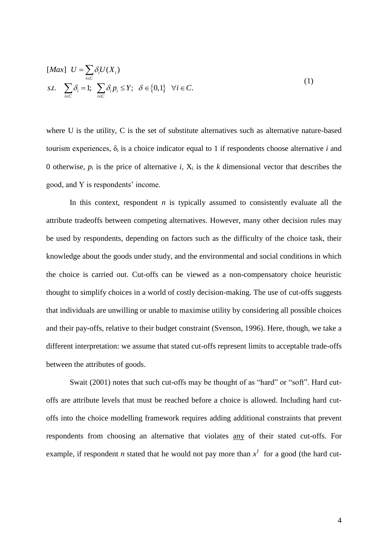$$
\begin{aligned}\n[Max] \quad U &= \sum_{i \in C} \delta_i U(X_i) \\
s.t. \quad \sum_{i \in C} \delta_i &= 1; \ \sum_{i \in C} \delta_i p_i \le Y; \ \ \delta \in \{0, 1\} \ \ \forall i \in C.\n\end{aligned}\n\tag{1}
$$

where U is the utility, C is the set of substitute alternatives such as alternative nature-based tourism experiences,  $\delta_i$  is a choice indicator equal to 1 if respondents choose alternative *i* and 0 otherwise,  $p_i$  is the price of alternative *i*,  $X_i$  is the *k* dimensional vector that describes the good, and Y is respondents' income.

In this context, respondent *n* is typically assumed to consistently evaluate all the attribute tradeoffs between competing alternatives. However, many other decision rules may be used by respondents, depending on factors such as the difficulty of the choice task, their knowledge about the goods under study, and the environmental and social conditions in which the choice is carried out. Cut-offs can be viewed as a non-compensatory choice heuristic thought to simplify choices in a world of costly decision-making. The use of cut-offs suggests that individuals are unwilling or unable to maximise utility by considering all possible choices and their pay-offs, relative to their budget constraint (Svenson, 1996). Here, though, we take a different interpretation: we assume that stated cut-offs represent limits to acceptable trade-offs between the attributes of goods.

Swait (2001) notes that such cut-offs may be thought of as "hard" or "soft". Hard cutoffs are attribute levels that must be reached before a choice is allowed. Including hard cutoffs into the choice modelling framework requires adding additional constraints that prevent respondents from choosing an alternative that violates any of their stated cut-offs. For example, if respondent *n* stated that he would not pay more than  $x<sup>1</sup>$  for a good (the hard cut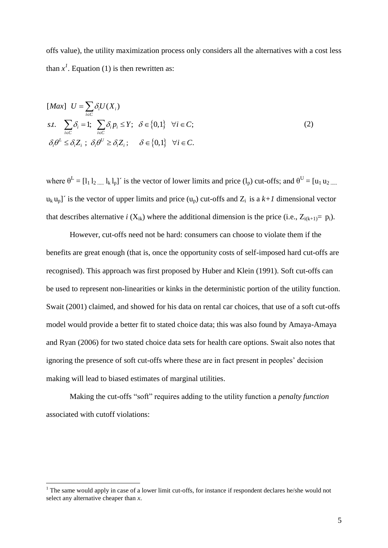offs value), the utility maximization process only considers all the alternatives with a cost less than  $x<sup>1</sup>$ . Equation (1) is then rewritten as:

$$
[Max] \quad U = \sum_{i \in C} \delta_i U(X_i)
$$
\n
$$
s.t. \quad \sum_{i \in C} \delta_i = 1; \quad \sum_{i \in C} \delta_i p_i \le Y; \quad \delta \in \{0, 1\} \quad \forall i \in C;
$$
\n
$$
\delta_i \theta^L \le \delta_i Z_i \; ; \quad \delta_i \theta^U \ge \delta_i Z_i \; ; \quad \delta \in \{0, 1\} \quad \forall i \in C.
$$
\n
$$
(2)
$$

where  $\theta^L = [l_1 l_2 ... l_k l_p]$  is the vector of lower limits and price  $(l_p)$  cut-offs; and  $\theta^U = [u_1 u_2 ... u_k]$  $u_k u_p$ <sup> $\alpha$ </sup> is the vector of upper limits and price  $(u_p)$  cut-offs and  $Z_i$  is a  $k+1$  dimensional vector that describes alternative *i* ( $X_{ik}$ ) where the additional dimension is the price (i.e.,  $Z_{i(k+1)} = p_i$ ).

However, cut-offs need not be hard: consumers can choose to violate them if the benefits are great enough (that is, once the opportunity costs of self-imposed hard cut-offs are recognised). This approach was first proposed by Huber and Klein (1991). Soft cut-offs can be used to represent non-linearities or kinks in the deterministic portion of the utility function. Swait (2001) claimed, and showed for his data on rental car choices, that use of a soft cut-offs model would provide a better fit to stated choice data; this was also found by Amaya-Amaya and Ryan (2006) for two stated choice data sets for health care options. Swait also notes that ignoring the presence of soft cut-offs where these are in fact present in peoples' decision making will lead to biased estimates of marginal utilities.

Making the cut-offs "soft" requires adding to the utility function a *penalty function* associated with cutoff violations:

 $\overline{a}$ 

<sup>&</sup>lt;sup>1</sup> The same would apply in case of a lower limit cut-offs, for instance if respondent declares he/she would not select any alternative cheaper than *x*.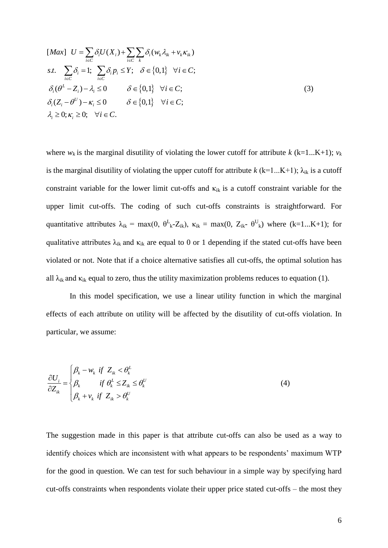[ ] ( ) ( ) . . 1; ; 0,1 ; ( ) 0 0,1 ; ( ) 0 0,1 ; 0; 0; . *i i i k ik k ik i C i C k i i i i C i C L i i i U i i i i i Max U U X w v s t p Y i C Z i C Z i C i C* (3)

where  $w_k$  is the marginal disutility of violating the lower cutoff for attribute  $k$  (k=1...K+1);  $v_k$ is the marginal disutility of violating the upper cutoff for attribute  $k$  (k=1...K+1);  $\lambda_{ik}$  is a cutoff constraint variable for the lower limit cut-offs and  $\kappa_{ik}$  is a cutoff constraint variable for the upper limit cut-offs. The coding of such cut-offs constraints is straightforward. For quantitative attributes  $\lambda_{ik} = \max(0, \theta_{k}^L - Z_{ik}), \kappa_{ik} = \max(0, Z_{ik} - \theta_{k}^U)$  where  $(k=1...K+1)$ ; for qualitative attributes  $\lambda_{ik}$  and  $\kappa_{ik}$  are equal to 0 or 1 depending if the stated cut-offs have been violated or not. Note that if a choice alternative satisfies all cut-offs, the optimal solution has all  $\lambda_{ik}$  and  $\kappa_{ik}$  equal to zero, thus the utility maximization problems reduces to equation (1).

In this model specification, we use a linear utility function in which the marginal effects of each attribute on utility will be affected by the disutility of cut-offs violation. In particular, we assume:

$$
\frac{\partial U_i}{\partial Z_{ik}} = \begin{cases} \beta_k - w_k & \text{if } Z_{ik} < \theta_k^L \\ \beta_k & \text{if } \theta_k^L \le Z_{ik} \le \theta_k^U \\ \beta_k + v_k & \text{if } Z_{ik} > \theta_k^U \end{cases}
$$
(4)

The suggestion made in this paper is that attribute cut-offs can also be used as a way to identify choices which are inconsistent with what appears to be respondents' maximum WTP for the good in question. We can test for such behaviour in a simple way by specifying hard cut-offs constraints when respondents violate their upper price stated cut-offs – the most they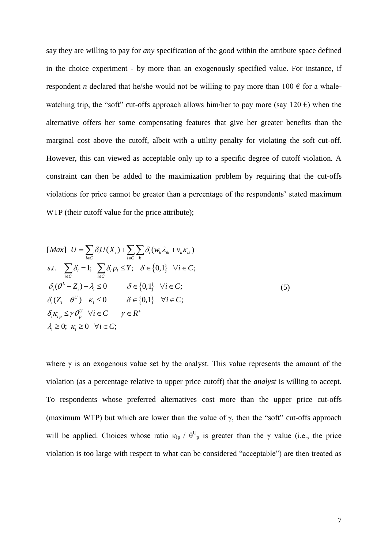say they are willing to pay for *any* specification of the good within the attribute space defined in the choice experiment - by more than an exogenously specified value. For instance, if respondent *n* declared that he/she would not be willing to pay more than 100  $\epsilon$  for a whalewatching trip, the "soft" cut-offs approach allows him/her to pay more (say 120  $\epsilon$ ) when the alternative offers her some compensating features that give her greater benefits than the marginal cost above the cutoff, albeit with a utility penalty for violating the soft cut-off. However, this can viewed as acceptable only up to a specific degree of cutoff violation. A constraint can then be added to the maximization problem by requiring that the cut-offs violations for price cannot be greater than a percentage of the respondents' stated maximum WTP (their cutoff value for the price attribute);

$$
[Max] \quad U = \sum_{i \in C} \delta_i U(X_i) + \sum_{i \in C} \sum_k \delta_i (w_k \lambda_{ik} + v_k \kappa_{ik})
$$
\n
$$
s.t. \quad \sum_{i \in C} \delta_i = 1; \quad \sum_{i \in C} \delta_i p_i \le Y; \quad \delta \in \{0, 1\} \quad \forall i \in C;
$$
\n
$$
\delta_i (\theta^L - Z_i) - \lambda_i \le 0 \qquad \delta \in \{0, 1\} \quad \forall i \in C;
$$
\n
$$
\delta_i (Z_i - \theta^U) - \kappa_i \le 0 \qquad \delta \in \{0, 1\} \quad \forall i \in C;
$$
\n
$$
\delta_i \kappa_{ip} \le \gamma \theta_p^U \quad \forall i \in C \qquad \gamma \in R^+
$$
\n
$$
\lambda_i \ge 0; \quad \kappa_i \ge 0 \quad \forall i \in C;
$$
\n
$$
(5)
$$

where  $\gamma$  is an exogenous value set by the analyst. This value represents the amount of the violation (as a percentage relative to upper price cutoff) that the *analyst* is willing to accept. To respondents whose preferred alternatives cost more than the upper price cut-offs (maximum WTP) but which are lower than the value of  $\gamma$ , then the "soft" cut-offs approach will be applied. Choices whose ratio  $\kappa_{ip}$  /  $\theta_{p}^{U}$  is greater than the  $\gamma$  value (i.e., the price violation is too large with respect to what can be considered "acceptable") are then treated as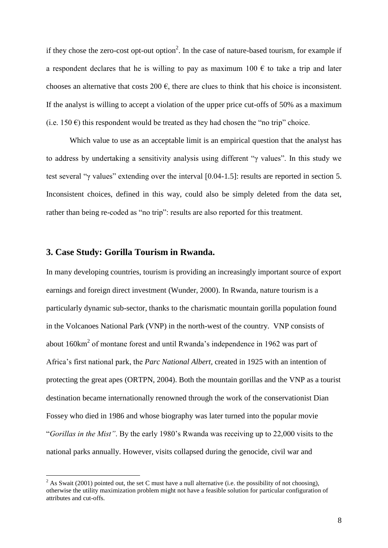if they chose the zero-cost opt-out option<sup>2</sup>. In the case of nature-based tourism, for example if a respondent declares that he is willing to pay as maximum 100  $\epsilon$  to take a trip and later chooses an alternative that costs 200  $\epsilon$ , there are clues to think that his choice is inconsistent. If the analyst is willing to accept a violation of the upper price cut-offs of 50% as a maximum (i.e. 150  $\epsilon$ ) this respondent would be treated as they had chosen the "no trip" choice.

Which value to use as an acceptable limit is an empirical question that the analyst has to address by undertaking a sensitivity analysis using different "γ values". In this study we test several "γ values" extending over the interval [0.04-1.5]: results are reported in section 5. Inconsistent choices, defined in this way, could also be simply deleted from the data set, rather than being re-coded as "no trip": results are also reported for this treatment.

#### **3. Case Study: Gorilla Tourism in Rwanda.**

 $\overline{a}$ 

In many developing countries, tourism is providing an increasingly important source of export earnings and foreign direct investment (Wunder, 2000). In Rwanda, nature tourism is a particularly dynamic sub-sector, thanks to the charismatic mountain gorilla population found in the Volcanoes National Park (VNP) in the north-west of the country. VNP consists of about  $160 \text{km}^2$  of montane forest and until Rwanda's independence in 1962 was part of Africa"s first national park, the *Parc National Albert*, created in 1925 with an intention of protecting the great apes (ORTPN, 2004). Both the mountain gorillas and the VNP as a tourist destination became internationally renowned through the work of the conservationist Dian Fossey who died in 1986 and whose biography was later turned into the popular movie "*Gorillas in the Mist"*. By the early 1980"s Rwanda was receiving up to 22,000 visits to the national parks annually. However, visits collapsed during the genocide, civil war and

<sup>&</sup>lt;sup>2</sup> As Swait (2001) pointed out, the set C must have a null alternative (i.e. the possibility of not choosing), otherwise the utility maximization problem might not have a feasible solution for particular configuration of attributes and cut-offs.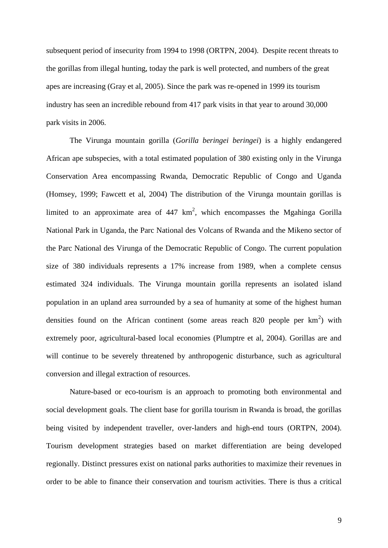subsequent period of insecurity from 1994 to 1998 (ORTPN, 2004). Despite recent threats to the gorillas from illegal hunting, today the park is well protected, and numbers of the great apes are increasing (Gray et al, 2005). Since the park was re-opened in 1999 its tourism industry has seen an incredible rebound from 417 park visits in that year to around 30,000 park visits in 2006.

The Virunga mountain gorilla (*Gorilla beringei beringei*) is a highly endangered African ape subspecies, with a total estimated population of 380 existing only in the Virunga Conservation Area encompassing Rwanda, Democratic Republic of Congo and Uganda (Homsey, 1999; Fawcett et al, 2004) The distribution of the Virunga mountain gorillas is limited to an approximate area of  $447 \text{ km}^2$ , which encompasses the Mgahinga Gorilla National Park in Uganda, the Parc National des Volcans of Rwanda and the Mikeno sector of the Parc National des Virunga of the Democratic Republic of Congo. The current population size of 380 individuals represents a 17% increase from 1989, when a complete census estimated 324 individuals. The Virunga mountain gorilla represents an isolated island population in an upland area surrounded by a sea of humanity at some of the highest human densities found on the African continent (some areas reach 820 people per  $km^2$ ) with extremely poor, agricultural-based local economies (Plumptre et al, 2004). Gorillas are and will continue to be severely threatened by anthropogenic disturbance, such as agricultural conversion and illegal extraction of resources.

Nature-based or eco-tourism is an approach to promoting both environmental and social development goals. The client base for gorilla tourism in Rwanda is broad, the gorillas being visited by independent traveller, over-landers and high-end tours (ORTPN, 2004). Tourism development strategies based on market differentiation are being developed regionally. Distinct pressures exist on national parks authorities to maximize their revenues in order to be able to finance their conservation and tourism activities. There is thus a critical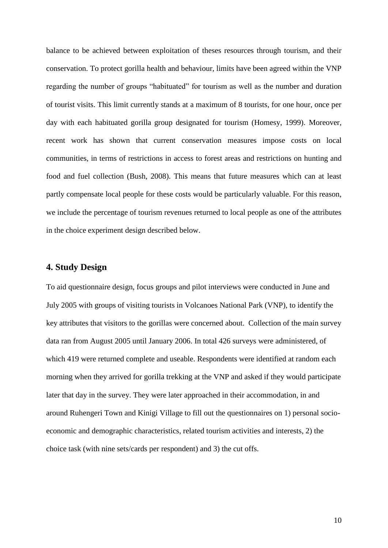balance to be achieved between exploitation of theses resources through tourism, and their conservation. To protect gorilla health and behaviour, limits have been agreed within the VNP regarding the number of groups "habituated" for tourism as well as the number and duration of tourist visits. This limit currently stands at a maximum of 8 tourists, for one hour, once per day with each habituated gorilla group designated for tourism (Homesy, 1999). Moreover, recent work has shown that current conservation measures impose costs on local communities, in terms of restrictions in access to forest areas and restrictions on hunting and food and fuel collection (Bush, 2008). This means that future measures which can at least partly compensate local people for these costs would be particularly valuable. For this reason, we include the percentage of tourism revenues returned to local people as one of the attributes in the choice experiment design described below.

### **4. Study Design**

To aid questionnaire design, focus groups and pilot interviews were conducted in June and July 2005 with groups of visiting tourists in Volcanoes National Park (VNP), to identify the key attributes that visitors to the gorillas were concerned about. Collection of the main survey data ran from August 2005 until January 2006. In total 426 surveys were administered, of which 419 were returned complete and useable. Respondents were identified at random each morning when they arrived for gorilla trekking at the VNP and asked if they would participate later that day in the survey. They were later approached in their accommodation, in and around Ruhengeri Town and Kinigi Village to fill out the questionnaires on 1) personal socioeconomic and demographic characteristics, related tourism activities and interests, 2) the choice task (with nine sets/cards per respondent) and 3) the cut offs.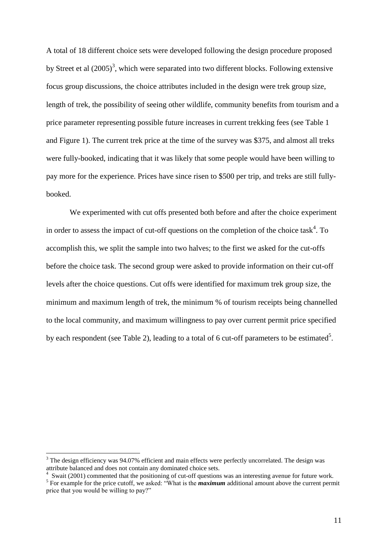A total of 18 different choice sets were developed following the design procedure proposed by Street et al  $(2005)^3$ , which were separated into two different blocks. Following extensive focus group discussions, the choice attributes included in the design were trek group size, length of trek, the possibility of seeing other wildlife, community benefits from tourism and a price parameter representing possible future increases in current trekking fees (see Table 1 and Figure 1). The current trek price at the time of the survey was \$375, and almost all treks were fully-booked, indicating that it was likely that some people would have been willing to pay more for the experience. Prices have since risen to \$500 per trip, and treks are still fullybooked.

We experimented with cut offs presented both before and after the choice experiment in order to assess the impact of cut-off questions on the completion of the choice task<sup>4</sup>. To accomplish this, we split the sample into two halves; to the first we asked for the cut-offs before the choice task. The second group were asked to provide information on their cut-off levels after the choice questions. Cut offs were identified for maximum trek group size, the minimum and maximum length of trek, the minimum % of tourism receipts being channelled to the local community, and maximum willingness to pay over current permit price specified by each respondent (see Table 2), leading to a total of 6 cut-off parameters to be estimated<sup>5</sup>.

 $\overline{a}$ 

<sup>&</sup>lt;sup>3</sup> The design efficiency was 94.07% efficient and main effects were perfectly uncorrelated. The design was attribute balanced and does not contain any dominated choice sets.

<sup>4</sup> Swait (2001) commented that the positioning of cut-off questions was an interesting avenue for future work.

<sup>&</sup>lt;sup>5</sup> For example for the price cutoff, we asked: "What is the *maximum* additional amount above the current permit price that you would be willing to pay?"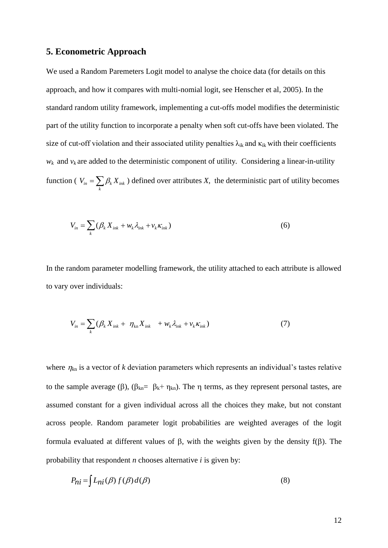### **5. Econometric Approach**

We used a Random Paremeters Logit model to analyse the choice data (for details on this approach, and how it compares with multi-nomial logit, see Henscher et al, 2005). In the standard random utility framework, implementing a cut-offs model modifies the deterministic part of the utility function to incorporate a penalty when soft cut-offs have been violated. The size of cut-off violation and their associated utility penalties  $\lambda_{ik}$  and  $\kappa_{ik}$  with their coefficients  $w_k$  and  $v_k$  are added to the deterministic component of utility. Considering a linear-in-utility function (  $V_{in} = \sum \beta_k X_{ink}$  $V_{in} = \sum_{k} \beta_k X_{ink}$  ) defined over attributes *X*, the deterministic part of utility becomes

$$
V_{in} = \sum_{k} (\beta_k X_{ink} + w_k \lambda_{ink} + v_k \kappa_{ink})
$$
\n(6)

In the random parameter modelling framework, the utility attached to each attribute is allowed to vary over individuals:

$$
V_{in} = \sum_{k} (\beta_k X_{ink} + \eta_{kn} X_{ink} + w_k \lambda_{ink} + v_k \kappa_{ink})
$$
\n(7)

where  $\eta_{kn}$  is a vector of *k* deviation parameters which represents an individual's tastes relative to the sample average ( $\beta$ ), ( $\beta_{kn} = \beta_k + \eta_{kn}$ ). The  $\eta$  terms, as they represent personal tastes, are assumed constant for a given individual across all the choices they make, but not constant across people. Random parameter logit probabilities are weighted averages of the logit formula evaluated at different values of  $\beta$ , with the weights given by the density  $f(\beta)$ . The probability that respondent *n* chooses alternative *i* is given by:

$$
P_{ni} = \int L_{ni}(\beta) f(\beta) d(\beta)
$$
 (8)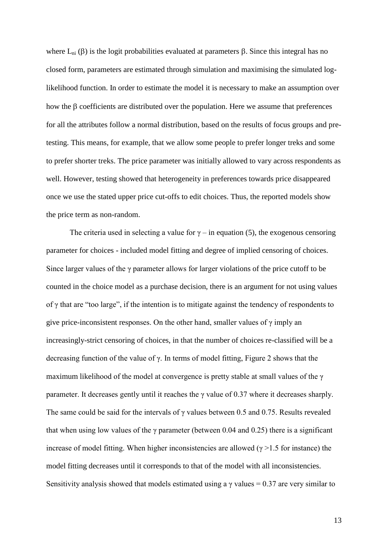where  $L_{ni}(\beta)$  is the logit probabilities evaluated at parameters  $\beta$ . Since this integral has no closed form, parameters are estimated through simulation and maximising the simulated loglikelihood function. In order to estimate the model it is necessary to make an assumption over how the  $\beta$  coefficients are distributed over the population. Here we assume that preferences for all the attributes follow a normal distribution, based on the results of focus groups and pretesting. This means, for example, that we allow some people to prefer longer treks and some to prefer shorter treks. The price parameter was initially allowed to vary across respondents as well. However, testing showed that heterogeneity in preferences towards price disappeared once we use the stated upper price cut-offs to edit choices. Thus, the reported models show the price term as non-random.

The criteria used in selecting a value for  $\gamma$  – in equation (5), the exogenous censoring parameter for choices - included model fitting and degree of implied censoring of choices. Since larger values of the γ parameter allows for larger violations of the price cutoff to be counted in the choice model as a purchase decision, there is an argument for not using values of γ that are "too large", if the intention is to mitigate against the tendency of respondents to give price-inconsistent responses. On the other hand, smaller values of  $\gamma$  imply an increasingly-strict censoring of choices, in that the number of choices re-classified will be a decreasing function of the value of  $\gamma$ . In terms of model fitting, Figure 2 shows that the maximum likelihood of the model at convergence is pretty stable at small values of the γ parameter. It decreases gently until it reaches the  $\gamma$  value of 0.37 where it decreases sharply. The same could be said for the intervals of γ values between 0.5 and 0.75. Results revealed that when using low values of the  $\gamma$  parameter (between 0.04 and 0.25) there is a significant increase of model fitting. When higher inconsistencies are allowed ( $\gamma$  >1.5 for instance) the model fitting decreases until it corresponds to that of the model with all inconsistencies. Sensitivity analysis showed that models estimated using a  $\gamma$  values = 0.37 are very similar to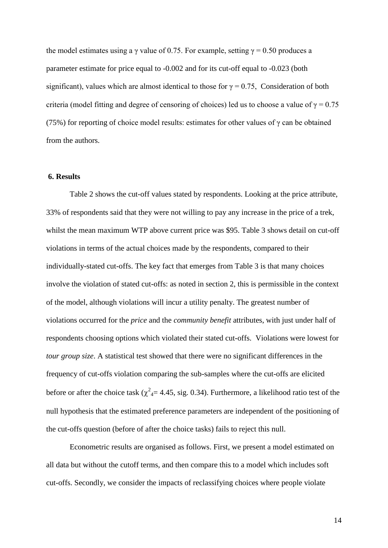the model estimates using a γ value of 0.75. For example, setting  $\gamma = 0.50$  produces a parameter estimate for price equal to -0.002 and for its cut-off equal to -0.023 (both significant), values which are almost identical to those for  $\gamma = 0.75$ , Consideration of both criteria (model fitting and degree of censoring of choices) led us to choose a value of  $\gamma = 0.75$ (75%) for reporting of choice model results: estimates for other values of  $\gamma$  can be obtained from the authors.

#### **6. Results**

Table 2 shows the cut-off values stated by respondents. Looking at the price attribute, 33% of respondents said that they were not willing to pay any increase in the price of a trek, whilst the mean maximum WTP above current price was \$95. Table 3 shows detail on cut-off violations in terms of the actual choices made by the respondents, compared to their individually-stated cut-offs. The key fact that emerges from Table 3 is that many choices involve the violation of stated cut-offs: as noted in section 2, this is permissible in the context of the model, although violations will incur a utility penalty. The greatest number of violations occurred for the *price* and the *community benefit* attributes, with just under half of respondents choosing options which violated their stated cut-offs. Violations were lowest for *tour group size*. A statistical test showed that there were no significant differences in the frequency of cut-offs violation comparing the sub-samples where the cut-offs are elicited before or after the choice task ( $\chi^2$ <sub>4</sub>= 4.45, sig. 0.34). Furthermore, a likelihood ratio test of the null hypothesis that the estimated preference parameters are independent of the positioning of the cut-offs question (before of after the choice tasks) fails to reject this null.

Econometric results are organised as follows. First, we present a model estimated on all data but without the cutoff terms, and then compare this to a model which includes soft cut-offs. Secondly, we consider the impacts of reclassifying choices where people violate

14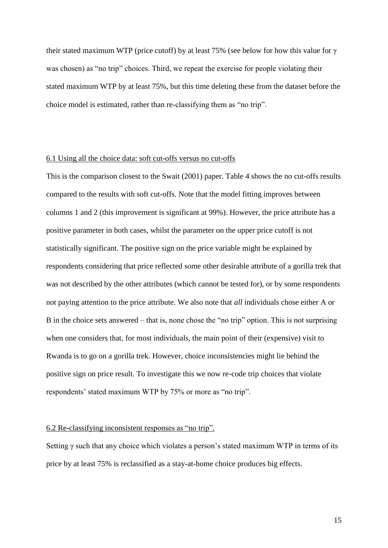their stated maximum WTP (price cutoff) by at least 75% (see below for how this value for γ was chosen) as "no trip" choices. Third, we repeat the exercise for people violating their stated maximum WTP by at least 75%, but this time deleting these from the dataset before the choice model is estimated, rather than re-classifying them as "no trip".

#### 6.1 Using all the choice data: soft cut-offs versus no cut-offs

This is the comparison closest to the Swait (2001) paper. Table 4 shows the no cut-offs results compared to the results with soft cut-offs. Note that the model fitting improves between columns 1 and 2 (this improvement is significant at 99%). However, the price attribute has a positive parameter in both cases, whilst the parameter on the upper price cutoff is not statistically significant. The positive sign on the price variable might be explained by respondents considering that price reflected some other desirable attribute of a gorilla trek that was not described by the other attributes (which cannot be tested for), or by some respondents not paying attention to the price attribute. We also note that *all* individuals chose either A or B in the choice sets answered – that is, none chose the "no trip" option. This is not surprising when one considers that, for most individuals, the main point of their (expensive) visit to Rwanda is to go on a gorilla trek. However, choice inconsistencies might lie behind the positive sign on price result. To investigate this we now re-code trip choices that violate respondents' stated maximum WTP by 75% or more as "no trip".

#### 6.2 Re-classifying inconsistent responses as "no trip".

Setting  $\gamma$  such that any choice which violates a person's stated maximum WTP in terms of its price by at least 75% is reclassified as a stay-at-home choice produces big effects.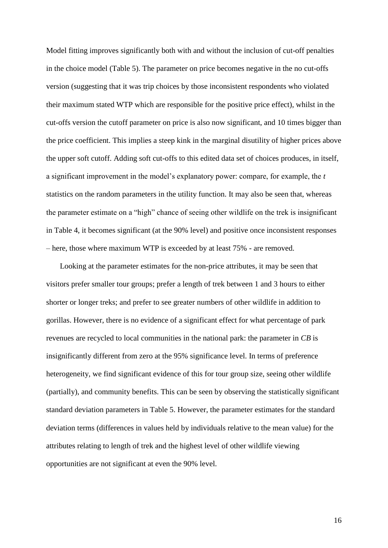Model fitting improves significantly both with and without the inclusion of cut-off penalties in the choice model (Table 5). The parameter on price becomes negative in the no cut-offs version (suggesting that it was trip choices by those inconsistent respondents who violated their maximum stated WTP which are responsible for the positive price effect), whilst in the cut-offs version the cutoff parameter on price is also now significant, and 10 times bigger than the price coefficient. This implies a steep kink in the marginal disutility of higher prices above the upper soft cutoff. Adding soft cut-offs to this edited data set of choices produces, in itself, a significant improvement in the model"s explanatory power: compare, for example, the *t* statistics on the random parameters in the utility function. It may also be seen that, whereas the parameter estimate on a "high" chance of seeing other wildlife on the trek is insignificant in Table 4, it becomes significant (at the 90% level) and positive once inconsistent responses – here, those where maximum WTP is exceeded by at least 75% - are removed.

Looking at the parameter estimates for the non-price attributes, it may be seen that visitors prefer smaller tour groups; prefer a length of trek between 1 and 3 hours to either shorter or longer treks; and prefer to see greater numbers of other wildlife in addition to gorillas. However, there is no evidence of a significant effect for what percentage of park revenues are recycled to local communities in the national park: the parameter in *CB* is insignificantly different from zero at the 95% significance level. In terms of preference heterogeneity, we find significant evidence of this for tour group size, seeing other wildlife (partially), and community benefits. This can be seen by observing the statistically significant standard deviation parameters in Table 5. However, the parameter estimates for the standard deviation terms (differences in values held by individuals relative to the mean value) for the attributes relating to length of trek and the highest level of other wildlife viewing opportunities are not significant at even the 90% level.

16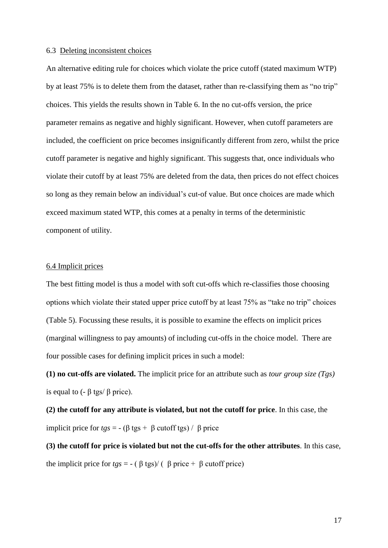#### 6.3 Deleting inconsistent choices

An alternative editing rule for choices which violate the price cutoff (stated maximum WTP) by at least 75% is to delete them from the dataset, rather than re-classifying them as "no trip" choices. This yields the results shown in Table 6. In the no cut-offs version, the price parameter remains as negative and highly significant. However, when cutoff parameters are included, the coefficient on price becomes insignificantly different from zero, whilst the price cutoff parameter is negative and highly significant. This suggests that, once individuals who violate their cutoff by at least 75% are deleted from the data, then prices do not effect choices so long as they remain below an individual"s cut-of value. But once choices are made which exceed maximum stated WTP, this comes at a penalty in terms of the deterministic component of utility.

#### 6.4 Implicit prices

The best fitting model is thus a model with soft cut-offs which re-classifies those choosing options which violate their stated upper price cutoff by at least 75% as "take no trip" choices (Table 5). Focussing these results, it is possible to examine the effects on implicit prices (marginal willingness to pay amounts) of including cut-offs in the choice model. There are four possible cases for defining implicit prices in such a model:

**(1) no cut-offs are violated.** The implicit price for an attribute such as *tour group size (Tgs)*  is equal to ( $-$  β tgs/ β price).

**(2) the cutoff for any attribute is violated, but not the cutoff for price**. In this case, the implicit price for  $tgs = -(\beta \text{ tgs} + \beta \text{ cutoff tgs}) / \beta \text{ price}$ 

**(3) the cutoff for price is violated but not the cut-offs for the other attributes**. In this case, the implicit price for *tgs* = - ( $β$  tgs)/ ( $β$  price +  $β$  cutoff price)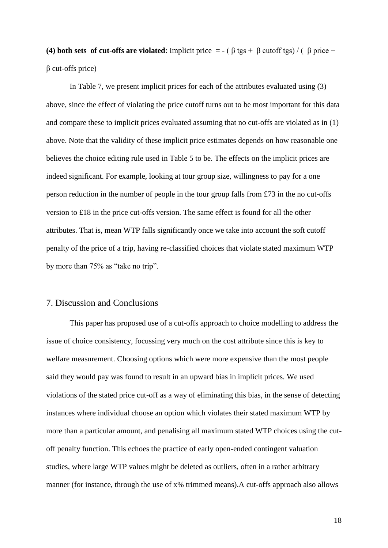**(4) both sets of cut-offs are violated**: Implicit price = - ( $\beta$  tgs +  $\beta$  cutoff tgs) / ( $\beta$  price + β cut-offs price)

In Table 7, we present implicit prices for each of the attributes evaluated using (3) above, since the effect of violating the price cutoff turns out to be most important for this data and compare these to implicit prices evaluated assuming that no cut-offs are violated as in (1) above. Note that the validity of these implicit price estimates depends on how reasonable one believes the choice editing rule used in Table 5 to be. The effects on the implicit prices are indeed significant. For example, looking at tour group size, willingness to pay for a one person reduction in the number of people in the tour group falls from £73 in the no cut-offs version to £18 in the price cut-offs version. The same effect is found for all the other attributes. That is, mean WTP falls significantly once we take into account the soft cutoff penalty of the price of a trip, having re-classified choices that violate stated maximum WTP by more than 75% as "take no trip".

#### 7. Discussion and Conclusions

This paper has proposed use of a cut-offs approach to choice modelling to address the issue of choice consistency, focussing very much on the cost attribute since this is key to welfare measurement. Choosing options which were more expensive than the most people said they would pay was found to result in an upward bias in implicit prices. We used violations of the stated price cut-off as a way of eliminating this bias, in the sense of detecting instances where individual choose an option which violates their stated maximum WTP by more than a particular amount, and penalising all maximum stated WTP choices using the cutoff penalty function. This echoes the practice of early open-ended contingent valuation studies, where large WTP values might be deleted as outliers, often in a rather arbitrary manner (for instance, through the use of x% trimmed means).A cut-offs approach also allows

18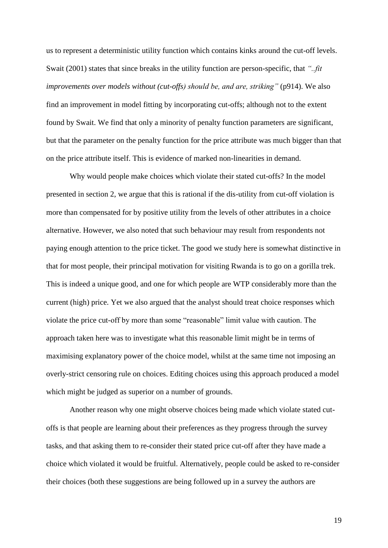us to represent a deterministic utility function which contains kinks around the cut-off levels. Swait (2001) states that since breaks in the utility function are person-specific, that *"..fit improvements over models without (cut-offs) should be, and are, striking" (p914). We also* find an improvement in model fitting by incorporating cut-offs; although not to the extent found by Swait. We find that only a minority of penalty function parameters are significant, but that the parameter on the penalty function for the price attribute was much bigger than that on the price attribute itself. This is evidence of marked non-linearities in demand.

Why would people make choices which violate their stated cut-offs? In the model presented in section 2, we argue that this is rational if the dis-utility from cut-off violation is more than compensated for by positive utility from the levels of other attributes in a choice alternative. However, we also noted that such behaviour may result from respondents not paying enough attention to the price ticket. The good we study here is somewhat distinctive in that for most people, their principal motivation for visiting Rwanda is to go on a gorilla trek. This is indeed a unique good, and one for which people are WTP considerably more than the current (high) price. Yet we also argued that the analyst should treat choice responses which violate the price cut-off by more than some "reasonable" limit value with caution. The approach taken here was to investigate what this reasonable limit might be in terms of maximising explanatory power of the choice model, whilst at the same time not imposing an overly-strict censoring rule on choices. Editing choices using this approach produced a model which might be judged as superior on a number of grounds.

Another reason why one might observe choices being made which violate stated cutoffs is that people are learning about their preferences as they progress through the survey tasks, and that asking them to re-consider their stated price cut-off after they have made a choice which violated it would be fruitful. Alternatively, people could be asked to re-consider their choices (both these suggestions are being followed up in a survey the authors are

19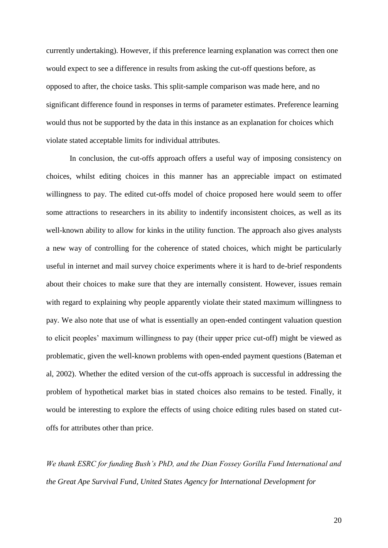currently undertaking). However, if this preference learning explanation was correct then one would expect to see a difference in results from asking the cut-off questions before, as opposed to after, the choice tasks. This split-sample comparison was made here, and no significant difference found in responses in terms of parameter estimates. Preference learning would thus not be supported by the data in this instance as an explanation for choices which violate stated acceptable limits for individual attributes.

In conclusion, the cut-offs approach offers a useful way of imposing consistency on choices, whilst editing choices in this manner has an appreciable impact on estimated willingness to pay. The edited cut-offs model of choice proposed here would seem to offer some attractions to researchers in its ability to indentify inconsistent choices, as well as its well-known ability to allow for kinks in the utility function. The approach also gives analysts a new way of controlling for the coherence of stated choices, which might be particularly useful in internet and mail survey choice experiments where it is hard to de-brief respondents about their choices to make sure that they are internally consistent. However, issues remain with regard to explaining why people apparently violate their stated maximum willingness to pay. We also note that use of what is essentially an open-ended contingent valuation question to elicit peoples' maximum willingness to pay (their upper price cut-off) might be viewed as problematic, given the well-known problems with open-ended payment questions (Bateman et al, 2002). Whether the edited version of the cut-offs approach is successful in addressing the problem of hypothetical market bias in stated choices also remains to be tested. Finally, it would be interesting to explore the effects of using choice editing rules based on stated cutoffs for attributes other than price.

*We thank ESRC for funding Bush's PhD, and the Dian Fossey Gorilla Fund International and the Great Ape Survival Fund, United States Agency for International Development for*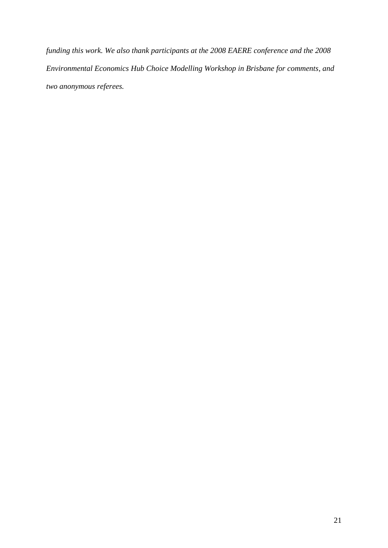*funding this work. We also thank participants at the 2008 EAERE conference and the 2008 Environmental Economics Hub Choice Modelling Workshop in Brisbane for comments, and two anonymous referees.*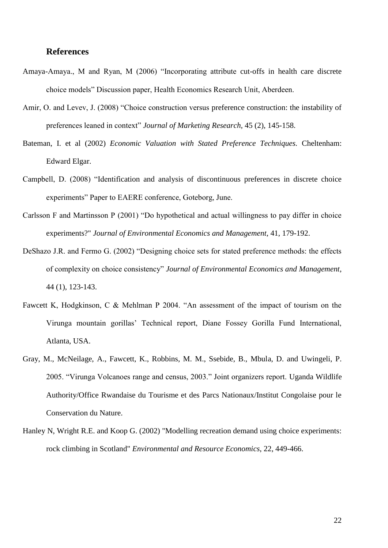#### **References**

- Amaya-Amaya., M and Ryan, M (2006) "Incorporating attribute cut-offs in health care discrete choice models" Discussion paper, Health Economics Research Unit, Aberdeen.
- Amir, O. and Levev, J. (2008) "Choice construction versus preference construction: the instability of preferences leaned in context" *Journal of Marketing Research,* 45 (2), 145-158.
- Bateman, I. et al (2002) *Economic Valuation with Stated Preference Techniques.* Cheltenham: Edward Elgar.
- Campbell, D. (2008) "Identification and analysis of discontinuous preferences in discrete choice experiments" Paper to EAERE conference, Goteborg, June.
- Carlsson F and Martinsson P (2001) "Do hypothetical and actual willingness to pay differ in choice experiments?" *Journal of Environmental Economics and Management*, 41, 179-192.
- DeShazo J.R. and Fermo G. (2002) "Designing choice sets for stated preference methods: the effects of complexity on choice consistency" *Journal of Environmental Economics and Management*, 44 (1), 123-143.
- Fawcett K, Hodgkinson, C & Mehlman P 2004. "An assessment of the impact of tourism on the Virunga mountain gorillas" Technical report, Diane Fossey Gorilla Fund International, Atlanta, USA.
- Gray, M., McNeilage, A., Fawcett, K., Robbins, M. M., Ssebide, B., Mbula, D. and Uwingeli, P. 2005. "Virunga Volcanoes range and census, 2003." Joint organizers report. Uganda Wildlife Authority/Office Rwandaise du Tourisme et des Parcs Nationaux/Institut Congolaise pour le Conservation du Nature.
- Hanley N, Wright R.E. and Koop G. (2002) "Modelling recreation demand using choice experiments: rock climbing in Scotland" *Environmental and Resource Economics*, 22, 449-466.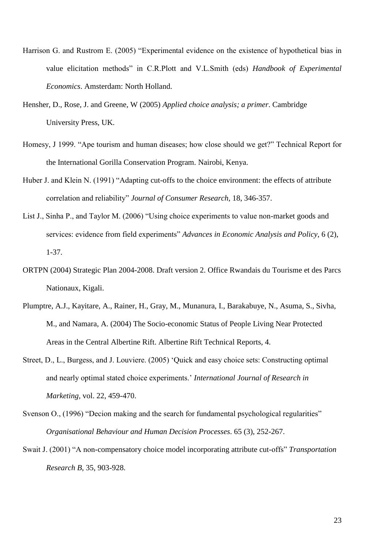- Harrison G. and Rustrom E. (2005) "Experimental evidence on the existence of hypothetical bias in value elicitation methods" in C.R.Plott and V.L.Smith (eds) *Handbook of Experimental Economics*. Amsterdam: North Holland.
- Hensher, D., Rose, J. and Greene, W (2005) *Applied choice analysis; a primer*. Cambridge University Press, UK.
- Homesy, J 1999. "Ape tourism and human diseases; how close should we get?" Technical Report for the International Gorilla Conservation Program. Nairobi, Kenya.
- Huber J. and Klein N. (1991) "Adapting cut-offs to the choice environment: the effects of attribute correlation and reliability" *Journal of Consumer Research*, 18, 346-357.
- List J., Sinha P., and Taylor M. (2006) "Using choice experiments to value non-market goods and services: evidence from field experiments" *Advances in Economic Analysis and Policy*, 6 (2), 1-37.
- ORTPN (2004) Strategic Plan 2004-2008. Draft version 2. Office Rwandais du Tourisme et des Parcs Nationaux, Kigali.
- Plumptre, A.J., Kayitare, A., Rainer, H., Gray, M., Munanura, I., Barakabuye, N., Asuma, S., Sivha, M., and Namara, A. (2004) The Socio-economic Status of People Living Near Protected Areas in the Central Albertine Rift. Albertine Rift Technical Reports, 4.
- Street, D., L., Burgess, and J. Louviere. (2005) "Quick and easy choice sets: Constructing optimal and nearly optimal stated choice experiments." *International Journal of Research in Marketing,* vol. 22, 459-470.
- Svenson O., (1996) "Decion making and the search for fundamental psychological regularities" *Organisational Behaviour and Human Decision Processes*. 65 (3), 252-267.
- Swait J. (2001) "A non-compensatory choice model incorporating attribute cut-offs" *Transportation Research B*, 35, 903-928.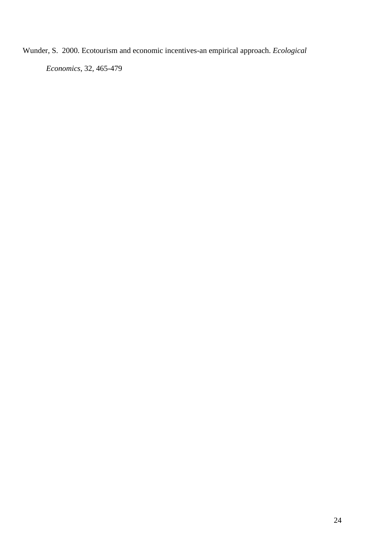Wunder, S. 2000. Ecotourism and economic incentives-an empirical approach. *Ecological* 

*Economics*, 32, 465-479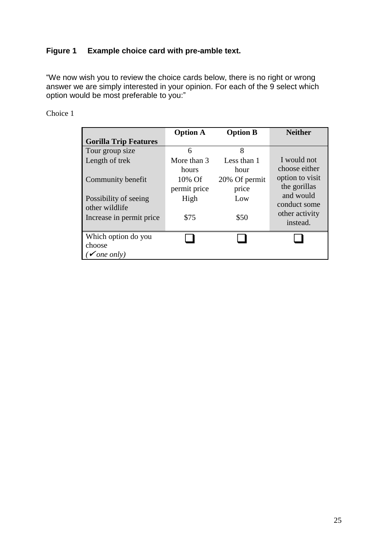## **Figure 1 Example choice card with pre-amble text.**

"We now wish you to review the choice cards below, there is no right or wrong answer we are simply interested in your opinion. For each of the 9 select which option would be most preferable to you:"

### Choice 1

|                              | <b>Option A</b> | <b>Option B</b> | <b>Neither</b>  |
|------------------------------|-----------------|-----------------|-----------------|
| <b>Gorilla Trip Features</b> |                 |                 |                 |
| Tour group size              | 6               | 8               |                 |
| Length of trek               | More than 3     | Less than 1     | I would not     |
|                              | hours           | hour            | choose either   |
| Community benefit            | $10\%$ Of       | 20% Of permit   | option to visit |
|                              | permit price    | price           | the gorillas    |
| Possibility of seeing        | High            | Low             | and would       |
| other wildlife               |                 |                 | conduct some    |
| Increase in permit price.    | \$75            | \$50            | other activity  |
|                              |                 |                 | instead.        |
| Which option do you          |                 |                 |                 |
| choose                       |                 |                 |                 |
| ( $\checkmark$ one only)     |                 |                 |                 |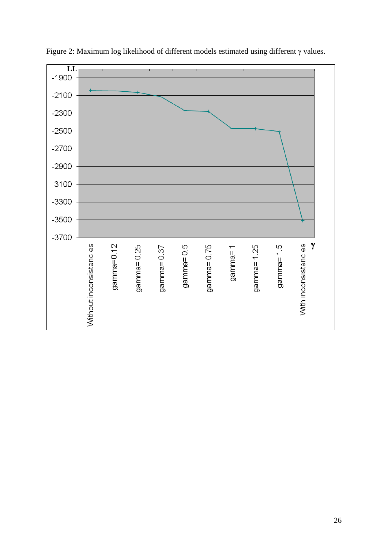

Figure 2: Maximum log likelihood of different models estimated using different  $\gamma$  values.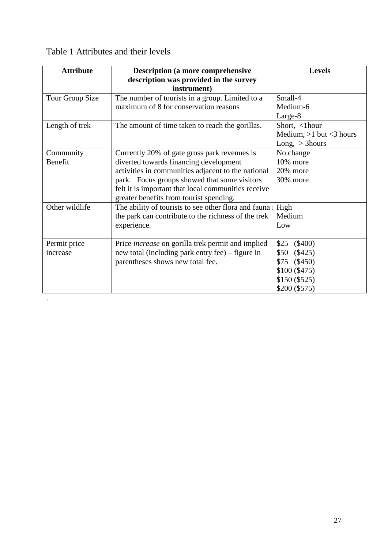|  | Table 1 Attributes and their levels |  |  |  |
|--|-------------------------------------|--|--|--|
|--|-------------------------------------|--|--|--|

.

| <b>Attribute</b> | <b>Description (a more comprehensive</b>                 | <b>Levels</b>             |
|------------------|----------------------------------------------------------|---------------------------|
|                  | description was provided in the survey                   |                           |
|                  | instrument)                                              |                           |
| Tour Group Size  | The number of tourists in a group. Limited to a          | Small-4                   |
|                  | maximum of 8 for conservation reasons                    | Medium-6                  |
|                  |                                                          | Large-8                   |
| Length of trek   | The amount of time taken to reach the gorillas.          | Short, <1hour             |
|                  |                                                          | Medium, $>1$ but <3 hours |
|                  |                                                          | Long, $>$ 3hours          |
| Community        | Currently 20% of gate gross park revenues is             | No change                 |
| Benefit          | diverted towards financing development                   | 10% more                  |
|                  | activities in communities adjacent to the national       | 20% more                  |
|                  | park. Focus groups showed that some visitors             | 30% more                  |
|                  | felt it is important that local communities receive      |                           |
|                  | greater benefits from tourist spending.                  |                           |
| Other wildlife   | The ability of tourists to see other flora and fauna:    | High                      |
|                  | the park can contribute to the richness of the trek      | Medium                    |
|                  | experience.                                              | Low                       |
|                  |                                                          |                           |
| Permit price     | Price <i>increase</i> on gorilla trek permit and implied | \$25<br>$(\$400)$         |
| increase         | new total (including park entry fee) – figure in         | \$50<br>(\$425)           |
|                  | parentheses shows new total fee.                         | \$75<br>$(\$450)$         |
|                  |                                                          | \$100 (\$475)             |
|                  |                                                          | \$150 (\$525)             |
|                  |                                                          | \$200 (\$575)             |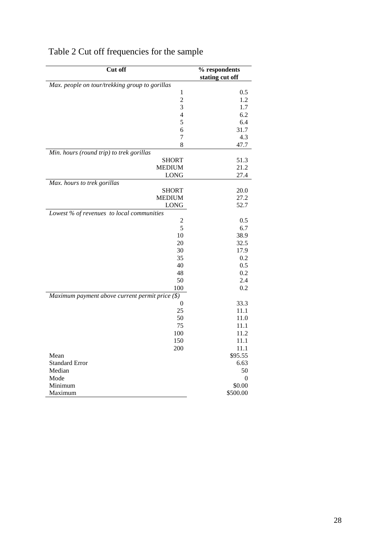| Cut off                                         | % respondents<br>stating cut off |
|-------------------------------------------------|----------------------------------|
| Max. people on tour/trekking group to gorillas  |                                  |
| 1                                               | 0.5                              |
| $\overline{c}$                                  | 1.2                              |
| 3                                               | 1.7                              |
| $\overline{4}$                                  | 6.2                              |
| 5                                               | 6.4                              |
| 6                                               | 31.7                             |
| $\overline{7}$                                  | 4.3                              |
| 8                                               | 47.7                             |
| Min. hours (round trip) to trek gorillas        |                                  |
| <b>SHORT</b>                                    | 51.3                             |
| <b>MEDIUM</b>                                   | 21.2                             |
| <b>LONG</b>                                     | 27.4                             |
| Max. hours to trek gorillas                     |                                  |
| <b>SHORT</b>                                    | 20.0                             |
| <b>MEDIUM</b>                                   | 27.2                             |
| <b>LONG</b>                                     | 52.7                             |
| Lowest % of revenues to local communities       |                                  |
| 2                                               | 0.5                              |
| 5                                               | 6.7                              |
| 10                                              | 38.9                             |
| 20                                              | 32.5                             |
| 30                                              | 17.9                             |
| 35                                              | 0.2                              |
| 40                                              | 0.5                              |
| 48                                              | 0.2                              |
| 50                                              | 2.4                              |
| 100                                             | 0.2                              |
| Maximum payment above current permit price (\$) |                                  |
| $\theta$                                        | 33.3                             |
| 25                                              | 11.1                             |
| 50                                              | 11.0                             |
| 75                                              | 11.1                             |
| 100                                             | 11.2                             |
| 150                                             | 11.1                             |
| 200                                             | 11.1                             |
| Mean                                            | \$95.55                          |
| <b>Standard Error</b>                           | 6.63                             |
| Median                                          | 50                               |
| Mode                                            | 0                                |
| Minimum                                         | \$0.00                           |
| Maximum                                         | \$500.00                         |

# Table 2 Cut off frequencies for the sample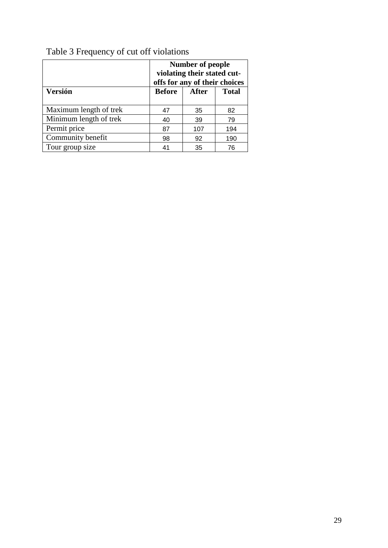|                        | <b>Number of people</b><br>violating their stated cut-<br>offs for any of their choices |              |              |
|------------------------|-----------------------------------------------------------------------------------------|--------------|--------------|
| <b>Versión</b>         | <b>Before</b>                                                                           | <b>After</b> | <b>Total</b> |
| Maximum length of trek | 47                                                                                      | 35           | 82           |
| Minimum length of trek | 40                                                                                      | 39           | 79           |
| Permit price           | 87                                                                                      | 107          | 194          |
| Community benefit      | 98                                                                                      | 92           | 190          |
| Tour group size        | 41                                                                                      | 35           | 76           |

# Table 3 Frequency of cut off violations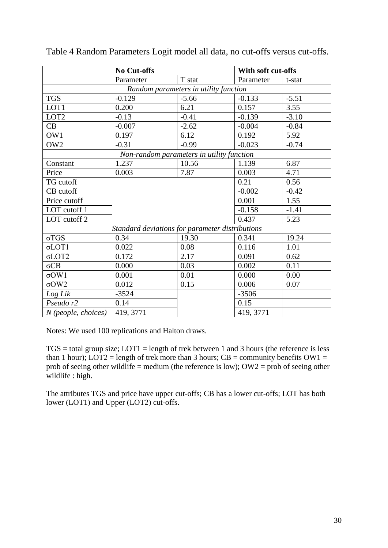|                                                 | <b>No Cut-offs</b> |                                           | With soft cut-offs |         |
|-------------------------------------------------|--------------------|-------------------------------------------|--------------------|---------|
|                                                 | Parameter          | T stat                                    | Parameter          | t-stat  |
| Random parameters in utility function           |                    |                                           |                    |         |
| <b>TGS</b>                                      | $-0.129$           | $-5.66$                                   | $-0.133$           | $-5.51$ |
| LOT1                                            | 0.200              | 6.21                                      | 0.157              | 3.55    |
| LOT <sub>2</sub>                                | $-0.13$            | $-0.41$                                   | $-0.139$           | $-3.10$ |
| CB                                              | $-0.007$           | $-2.62$                                   | $-0.004$           | $-0.84$ |
| OW1                                             | 0.197              | 6.12                                      | 0.192              | 5.92    |
| OW <sub>2</sub>                                 | $-0.31$            | $-0.99$                                   | $-0.023$           | $-0.74$ |
|                                                 |                    | Non-random parameters in utility function |                    |         |
| Constant                                        | 1.237              | 10.56                                     | 1.139              | 6.87    |
| Price                                           | 0.003              | 7.87                                      | 0.003              | 4.71    |
| TG cutoff                                       |                    |                                           | 0.21               | 0.56    |
| CB cutoff                                       |                    |                                           | $-0.002$           | $-0.42$ |
| Price cutoff                                    |                    |                                           | 0.001              | 1.55    |
| LOT cutoff 1                                    |                    |                                           | $-0.158$           | $-1.41$ |
| LOT cutoff 2                                    |                    |                                           | 0.437              | 5.23    |
| Standard deviations for parameter distributions |                    |                                           |                    |         |
| $\sigma TGS$                                    | 0.34               | 19.30                                     | 0.341              | 19.24   |
| $\sigma$ LOT1                                   | 0.022              | 0.08                                      | 0.116              | 1.01    |
| $\sigma$ LOT2                                   | 0.172              | 2.17                                      | 0.091              | 0.62    |
| $\sigma$ CB                                     | 0.000              | 0.03                                      | 0.002              | 0.11    |
| $\sigma$ OW1                                    | 0.001              | 0.01                                      | 0.000              | 0.00    |
| $\sigma$ OW2                                    | 0.012              | 0.15                                      | 0.006              | 0.07    |
| Log Lik                                         | $-3524$            |                                           | $-3506$            |         |
| Pseudo r2                                       | 0.14               |                                           | 0.15               |         |
| $N$ (people, choices)                           | 419, 3771          |                                           | 419, 3771          |         |

Table 4 Random Parameters Logit model all data, no cut-offs versus cut-offs.

Notes: We used 100 replications and Halton draws.

 $TGS =$  total group size;  $LOT1 =$  length of trek between 1 and 3 hours (the reference is less than 1 hour);  $LOT2$  = length of trek more than 3 hours;  $CB$  = community benefits  $OW1$  = prob of seeing other wildlife = medium (the reference is low);  $OW2 = prob$  of seeing other wildlife : high.

The attributes TGS and price have upper cut-offs; CB has a lower cut-offs; LOT has both lower (LOT1) and Upper (LOT2) cut-offs.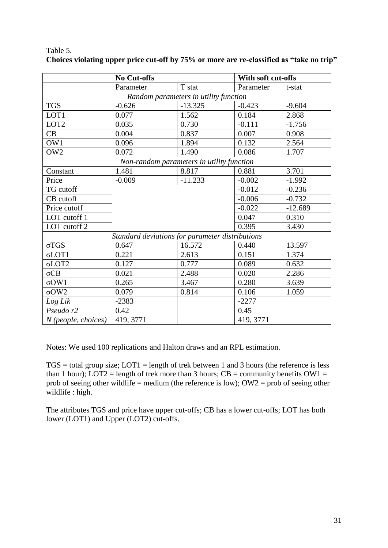|                                                 | <b>No Cut-offs</b> |                                           | With soft cut-offs |           |  |
|-------------------------------------------------|--------------------|-------------------------------------------|--------------------|-----------|--|
|                                                 | Parameter          | T stat                                    | Parameter          | t-stat    |  |
| Random parameters in utility function           |                    |                                           |                    |           |  |
| <b>TGS</b>                                      | $-0.626$           | $-13.325$                                 | $-0.423$           | $-9.604$  |  |
| LOT1                                            | 0.077              | 1.562                                     | 0.184              | 2.868     |  |
| LOT <sub>2</sub>                                | 0.035              | 0.730                                     | $-0.111$           | $-1.756$  |  |
| CB                                              | 0.004              | 0.837                                     | 0.007              | 0.908     |  |
| OW1                                             | 0.096              | 1.894                                     | 0.132              | 2.564     |  |
| OW <sub>2</sub>                                 | 0.072              | 1.490                                     | 0.086              | 1.707     |  |
|                                                 |                    | Non-random parameters in utility function |                    |           |  |
| Constant                                        | 1.481              | 8.817                                     | 0.881              | 3.701     |  |
| Price                                           | $-0.009$           | $-11.233$                                 | $-0.002$           | $-1.992$  |  |
| TG cutoff                                       |                    |                                           | $-0.012$           | $-0.236$  |  |
| CB cutoff                                       |                    |                                           | $-0.006$           | $-0.732$  |  |
| Price cutoff                                    |                    |                                           | $-0.022$           | $-12.689$ |  |
| LOT cutoff 1                                    |                    |                                           | 0.047              | 0.310     |  |
| LOT cutoff 2                                    |                    |                                           | 0.395              | 3.430     |  |
| Standard deviations for parameter distributions |                    |                                           |                    |           |  |
| $\sigma TGS$                                    | 0.647              | 16.572                                    | 0.440              | 13.597    |  |
| $\sigma$ LOT1                                   | 0.221              | 2.613                                     | 0.151              | 1.374     |  |
| $\sigma$ LOT2                                   | 0.127              | 0.777                                     | 0.089              | 0.632     |  |
| $\sigma$ CB                                     | 0.021              | 2.488                                     | 0.020              | 2.286     |  |
| $\sigma$ OW1                                    | 0.265              | 3.467                                     | 0.280              | 3.639     |  |
| $\sigma$ OW2                                    | 0.079              | 0.814                                     | 0.106              | 1.059     |  |
| Log Lik                                         | $-2383$            |                                           | $-2277$            |           |  |
| Pseudo r2                                       | 0.42               |                                           | 0.45               |           |  |
| $N$ (people, choices)                           | 419, 3771          |                                           | 419, 3771          |           |  |

Table 5. **Choices violating upper price cut-off by 75% or more are re-classified as "take no trip"**

Notes: We used 100 replications and Halton draws and an RPL estimation.

 $TGS =$  total group size;  $LOT1 =$  length of trek between 1 and 3 hours (the reference is less than 1 hour); LOT2 = length of trek more than 3 hours;  $CB =$  community benefits  $OW1 =$ prob of seeing other wildlife = medium (the reference is low);  $OW2 = prob$  of seeing other wildlife : high.

The attributes TGS and price have upper cut-offs; CB has a lower cut-offs; LOT has both lower (LOT1) and Upper (LOT2) cut-offs.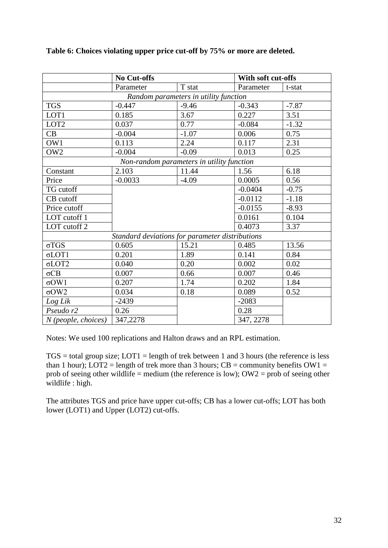|                                                 | <b>No Cut-offs</b> |                                           | With soft cut-offs |         |
|-------------------------------------------------|--------------------|-------------------------------------------|--------------------|---------|
|                                                 | Parameter          | T stat                                    | Parameter          | t-stat  |
| Random parameters in utility function           |                    |                                           |                    |         |
| <b>TGS</b>                                      | $-0.447$           | $-9.46$                                   | $-0.343$           | $-7.87$ |
| LOT1                                            | 0.185              | 3.67                                      | 0.227              | 3.51    |
| LOT <sub>2</sub>                                | 0.037              | 0.77                                      | $-0.084$           | $-1.32$ |
| CB                                              | $-0.004$           | $-1.07$                                   | 0.006              | 0.75    |
| OW1                                             | 0.113              | 2.24                                      | 0.117              | 2.31    |
| OW <sub>2</sub>                                 | $-0.004$           | $-0.09$                                   | 0.013              | 0.25    |
|                                                 |                    | Non-random parameters in utility function |                    |         |
| Constant                                        | 2.103              | 11.44                                     | 1.56               | 6.18    |
| Price                                           | $-0.0033$          | $-4.09$                                   | 0.0005             | 0.56    |
| TG cutoff                                       |                    |                                           | $-0.0404$          | $-0.75$ |
| CB cutoff                                       |                    |                                           | $-0.0112$          | $-1.18$ |
| Price cutoff                                    |                    |                                           | $-0.0155$          | $-8.93$ |
| LOT cutoff 1                                    |                    |                                           | 0.0161             | 0.104   |
| LOT cutoff 2                                    |                    |                                           | 0.4073             | 3.37    |
| Standard deviations for parameter distributions |                    |                                           |                    |         |
| $\sigma TGS$                                    | 0.605              | 15.21                                     | 0.485              | 13.56   |
| $\sigma$ LOT1                                   | 0.201              | 1.89                                      | 0.141              | 0.84    |
| $\sigma$ LOT2                                   | 0.040              | 0.20                                      | 0.002              | 0.02    |
| $\sigma$ CB                                     | 0.007              | 0.66                                      | 0.007              | 0.46    |
| $\sigma$ OW1                                    | 0.207              | 1.74                                      | 0.202              | 1.84    |
| $\sigma$ OW2                                    | 0.034              | 0.18                                      | 0.089              | 0.52    |
| Log Lik                                         | $-2439$            |                                           | $-2083$            |         |
| Pseudo r2                                       | 0.26               |                                           | 0.28               |         |
| $N$ (people, choices)                           | 347,2278           |                                           | 347, 2278          |         |

#### **Table 6: Choices violating upper price cut-off by 75% or more are deleted.**

Notes: We used 100 replications and Halton draws and an RPL estimation.

TGS = total group size; LOT1 = length of trek between 1 and 3 hours (the reference is less than 1 hour);  $LOT2 = length of tree more than 3 hours; CB = community benefits OW1 =$ prob of seeing other wildlife = medium (the reference is low);  $OW2 = prob$  of seeing other wildlife : high.

The attributes TGS and price have upper cut-offs; CB has a lower cut-offs; LOT has both lower (LOT1) and Upper (LOT2) cut-offs.